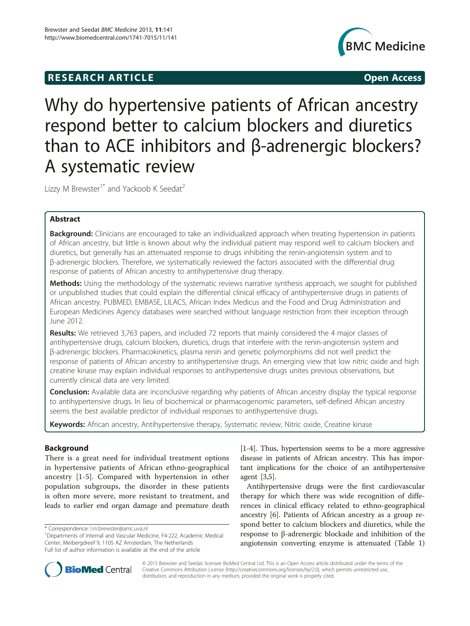# **RESEARCH ARTICLE Example 2014 CONSIDERING CONSIDERING CONSIDERING CONSIDERING CONSIDERING CONSIDERING CONSIDERING CONSIDERING CONSIDERING CONSIDERING CONSIDERING CONSIDERING CONSIDERING CONSIDERING CONSIDERING CONSIDE**



Why do hypertensive patients of African ancestry respond better to calcium blockers and diuretics than to ACE inhibitors and β-adrenergic blockers? A systematic review

Lizzy M Brewster<sup>1\*</sup> and Yackoob K Seedat<sup>2</sup>

# Abstract

Background: Clinicians are encouraged to take an individualized approach when treating hypertension in patients of African ancestry, but little is known about why the individual patient may respond well to calcium blockers and diuretics, but generally has an attenuated response to drugs inhibiting the renin-angiotensin system and to β-adrenergic blockers. Therefore, we systematically reviewed the factors associated with the differential drug response of patients of African ancestry to antihypertensive drug therapy.

Methods: Using the methodology of the systematic reviews narrative synthesis approach, we sought for published or unpublished studies that could explain the differential clinical efficacy of antihypertensive drugs in patients of African ancestry. PUBMED, EMBASE, LILACS, African Index Medicus and the Food and Drug Administration and European Medicines Agency databases were searched without language restriction from their inception through June 2012.

Results: We retrieved 3,763 papers, and included 72 reports that mainly considered the 4 major classes of antihypertensive drugs, calcium blockers, diuretics, drugs that interfere with the renin-angiotensin system and β-adrenergic blockers. Pharmacokinetics, plasma renin and genetic polymorphisms did not well predict the response of patients of African ancestry to antihypertensive drugs. An emerging view that low nitric oxide and high creatine kinase may explain individual responses to antihypertensive drugs unites previous observations, but currently clinical data are very limited.

**Conclusion:** Available data are inconclusive regarding why patients of African ancestry display the typical response to antihypertensive drugs. In lieu of biochemical or pharmacogenomic parameters, self-defined African ancestry seems the best available predictor of individual responses to antihypertensive drugs.

Keywords: African ancestry, Antihypertensive therapy, Systematic review, Nitric oxide, Creatine kinase

# Background

There is a great need for individual treatment options in hypertensive patients of African ethno-geographical ancestry [\[1-5](#page-13-0)]. Compared with hypertension in other population subgroups, the disorder in these patients is often more severe, more resistant to treatment, and leads to earlier end organ damage and premature death [[1-4](#page-13-0)]. Thus, hypertension seems to be a more aggressive disease in patients of African ancestry. This has important implications for the choice of an antihypertensive agent [\[3,5](#page-13-0)].

Antihypertensive drugs were the first cardiovascular therapy for which there was wide recognition of differences in clinical efficacy related to ethno-geographical ancestry [\[6](#page-13-0)]. Patients of African ancestry as a group respond better to calcium blockers and diuretics, while the response to β-adrenergic blockade and inhibition of the angiotensin converting enzyme is attenuated (Table [1](#page-1-0))



© 2013 Brewster and Seedat; licensee BioMed Central Ltd. This is an Open Access article distributed under the terms of the Creative Commons Attribution License (<http://creativecommons.org/licenses/by/2.0>), which permits unrestricted use, distribution, and reproduction in any medium, provided the original work is properly cited.

<sup>\*</sup> Correspondence: [l.m.brewster@amc.uva.nl](mailto:l.m.brewster@amc.uva.nl) <sup>1</sup>

<sup>&</sup>lt;sup>1</sup>Departments of Internal and Vascular Medicine, F4-222, Academic Medical Center, Meibergdreef 9, 1105 AZ Amsterdam, The Netherlands Full list of author information is available at the end of the article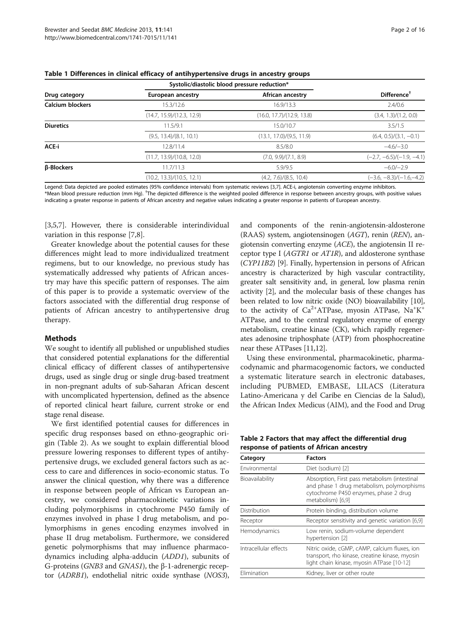|                   | Systolic/diastolic blood pressure reduction* |                            |                             |
|-------------------|----------------------------------------------|----------------------------|-----------------------------|
| Drug category     | European ancestry                            | African ancestry           | Different                   |
| Calcium blockers  | 15.3/12.6                                    | 16.9/13.3                  | 2.4/0.6                     |
|                   | (14.7, 15.9)/(12.3, 12.9)                    | (16.0, 17.7)/(12.9, 13.8)  | (3.4, 1.3)/(1.2, 0.0)       |
| <b>Diuretics</b>  | 11.5/9.1                                     | 15.0/10.7                  | 3.5/1.5                     |
|                   | (9.5, 13.4)/(8.1, 10.1)                      | (13.1, 17.0) / (9.5, 11.9) | $(6.4, 0.5)/(3.1, -0.1)$    |
| ACE-i             | 12.8/11.4                                    | 8.5/8.0                    | $-4.6/-3.0$                 |
|                   | (11.7, 13.9) / (10.8, 12.0)                  | (7.0, 9.9)/(7.1, 8.9)      | $(-2.7, -6.5)/(-1.9, -4.1)$ |
| <b>B-Blockers</b> | 11.7/11.3                                    | 5.9/9.5                    | $-6.0/-2.9$                 |
|                   | (10.2, 13.3)/(10.5, 12.1)                    | (4.2, 7.6)/(8.5, 10.4)     | $(-3.6, -8.3)/(-1.6,-4.2)$  |

<span id="page-1-0"></span>Table 1 Differences in clinical efficacy of antihypertensive drugs in ancestry groups

Legend: Data depicted are pooled estimates (95% confidence intervals) from systematic reviews [[3](#page-13-0),[7](#page-13-0)]. ACE-i, angiotensin converting enzyme inhibitors. \*Mean blood pressure reduction (mm Hg). † The depicted difference is the weighted pooled difference in response between ancestry groups, with positive values indicating a greater response in patients of African ancestry and negative values indicating a greater response in patients of European ancestry.

[[3,5,7\]](#page-13-0). However, there is considerable interindividual variation in this response [[7,8\]](#page-13-0).

Greater knowledge about the potential causes for these differences might lead to more individualized treatment regimens, but to our knowledge, no previous study has systematically addressed why patients of African ancestry may have this specific pattern of responses. The aim of this paper is to provide a systematic overview of the factors associated with the differential drug response of patients of African ancestry to antihypertensive drug therapy.

### Methods

We sought to identify all published or unpublished studies that considered potential explanations for the differential clinical efficacy of different classes of antihypertensive drugs, used as single drug or single drug-based treatment in non-pregnant adults of sub-Saharan African descent with uncomplicated hypertension, defined as the absence of reported clinical heart failure, current stroke or end stage renal disease.

We first identified potential causes for differences in specific drug responses based on ethno-geographic origin (Table 2). As we sought to explain differential blood pressure lowering responses to different types of antihypertensive drugs, we excluded general factors such as access to care and differences in socio-economic status. To answer the clinical question, why there was a difference in response between people of African vs European ancestry, we considered pharmacokinetic variations including polymorphisms in cytochrome P450 family of enzymes involved in phase I drug metabolism, and polymorphisms in genes encoding enzymes involved in phase II drug metabolism. Furthermore, we considered genetic polymorphisms that may influence pharmacodynamics including alpha-adducin (ADD1), subunits of G-proteins (GNB3 and GNAS1), the β-1-adrenergic receptor (ADRB1), endothelial nitric oxide synthase (NOS3),

and components of the renin-angiotensin-aldosterone (RAAS) system, angiotensinogen (AGT), renin (REN), angiotensin converting enzyme (ACE), the angiotensin II receptor type I (AGTR1 or AT1R), and aldosterone synthase (CYP11B2) [[9\]](#page-13-0). Finally, hypertension in persons of African ancestry is characterized by high vascular contractility, greater salt sensitivity and, in general, low plasma renin activity [[2\]](#page-13-0), and the molecular basis of these changes has been related to low nitric oxide (NO) bioavailability [[10](#page-13-0)], to the activity of  $Ca^{2+}ATP$ ase, myosin ATPase,  $Na^{+}K^{+}$ ATPase, and to the central regulatory enzyme of energy metabolism, creatine kinase (CK), which rapidly regenerates adenosine triphosphate (ATP) from phosphocreatine near these ATPases [\[11,12](#page-13-0)].

Using these environmental, pharmacokinetic, pharmacodynamic and pharmacogenomic factors, we conducted a systematic literature search in electronic databases, including PUBMED, EMBASE, LILACS (Literatura Latino-Americana y del Caribe en Ciencias de la Salud), the African Index Medicus (AIM), and the Food and Drug

| Table 2 Factors that may affect the differential drug |  |
|-------------------------------------------------------|--|
| response of patients of African ancestry              |  |

| <b>Factors</b>                                                                                                                                            |  |
|-----------------------------------------------------------------------------------------------------------------------------------------------------------|--|
| Diet (sodium) [2]                                                                                                                                         |  |
| Absorption, First pass metabolism (intestinal<br>and phase 1 drug metabolism, polymorphisms<br>cytochrome P450 enzymes, phase 2 drug<br>metabolism) [6,9] |  |
| Distribution<br>Protein binding, distribution volume                                                                                                      |  |
| Receptor sensitivity and genetic variation [6,9]                                                                                                          |  |
| Low renin, sodium-volume dependent<br>hypertension [2]                                                                                                    |  |
| Nitric oxide, cGMP, cAMP, calcium fluxes, ion<br>transport, rho kinase, creatine kinase, myosin<br>light chain kinase, myosin ATPase [10-12]              |  |
| Elimination<br>Kidney, liver or other route                                                                                                               |  |
|                                                                                                                                                           |  |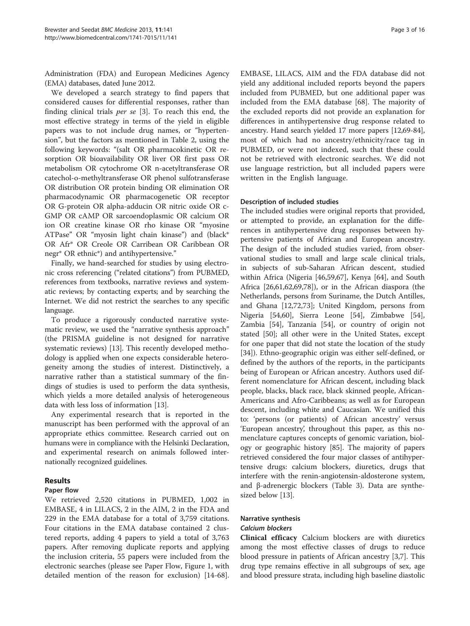<span id="page-2-0"></span>Administration (FDA) and European Medicines Agency (EMA) databases, dated June 2012.

We developed a search strategy to find papers that considered causes for differential responses, rather than finding clinical trials per se [[3\]](#page-13-0). To reach this end, the most effective strategy in terms of the yield in eligible papers was to not include drug names, or "hypertension", but the factors as mentioned in Table [2](#page-1-0), using the following keywords: "(salt OR pharmacokinetic OR resorption OR bioavailability OR liver OR first pass OR metabolism OR cytochrome OR n-acetyltransferase OR catechol-o-methyltransferase OR phenol sulfotransferase OR distribution OR protein binding OR elimination OR pharmacodynamic OR pharmacogenetic OR receptor OR G-protein OR alpha-adducin OR nitric oxide OR c-GMP OR cAMP OR sarcoendoplasmic OR calcium OR ion OR creatine kinase OR rho kinase OR "myosine ATPase" OR "myosin light chain kinase") and (black\* OR Afr\* OR Creole OR Carribean OR Caribbean OR negr\* OR ethnic\*) and antihypertensive."

Finally, we hand-searched for studies by using electronic cross referencing ("related citations") from PUBMED, references from textbooks, narrative reviews and systematic reviews; by contacting experts; and by searching the Internet. We did not restrict the searches to any specific language.

To produce a rigorously conducted narrative systematic review, we used the "narrative synthesis approach" (the PRISMA guideline is not designed for narrative systematic reviews) [[13](#page-13-0)]. This recently developed methodology is applied when one expects considerable heterogeneity among the studies of interest. Distinctively, a narrative rather than a statistical summary of the findings of studies is used to perform the data synthesis, which yields a more detailed analysis of heterogeneous data with less loss of information [[13\]](#page-13-0).

Any experimental research that is reported in the manuscript has been performed with the approval of an appropriate ethics committee. Research carried out on humans were in compliance with the Helsinki Declaration, and experimental research on animals followed internationally recognized guidelines.

# Results

### Paper flow

We retrieved 2,520 citations in PUBMED, 1,002 in EMBASE, 4 in LILACS, 2 in the AIM, 2 in the FDA and 229 in the EMA database for a total of 3,759 citations. Four citations in the EMA database contained 2 clustered reports, adding 4 papers to yield a total of 3,763 papers. After removing duplicate reports and applying the inclusion criteria, 55 papers were included from the electronic searches (please see Paper Flow, Figure [1,](#page-3-0) with detailed mention of the reason for exclusion) [\[14](#page-13-0)[-68](#page-14-0)].

EMBASE, LILACS, AIM and the FDA database did not yield any additional included reports beyond the papers included from PUBMED, but one additional paper was included from the EMA database [\[68\]](#page-14-0). The majority of the excluded reports did not provide an explanation for differences in antihypertensive drug response related to ancestry. Hand search yielded 17 more papers [[12,](#page-13-0)[69](#page-14-0)-[84](#page-15-0)], most of which had no ancestry/ethnicity/race tag in PUBMED, or were not indexed, such that these could not be retrieved with electronic searches. We did not use language restriction, but all included papers were written in the English language.

### Description of included studies

The included studies were original reports that provided, or attempted to provide, an explanation for the differences in antihypertensive drug responses between hypertensive patients of African and European ancestry. The design of the included studies varied, from observational studies to small and large scale clinical trials, in subjects of sub-Saharan African descent, studied within Africa (Nigeria [[46,59,67](#page-14-0)], Kenya [\[64\]](#page-14-0), and South Africa [[26,](#page-13-0)[61,62,69,78\]](#page-14-0)), or in the African diaspora (the Netherlands, persons from Suriname, the Dutch Antilles, and Ghana [[12,](#page-13-0)[72,73\]](#page-14-0); United Kingdom, persons from Nigeria [\[54,60](#page-14-0)], Sierra Leone [\[54\]](#page-14-0), Zimbabwe [\[54](#page-14-0)], Zambia [\[54](#page-14-0)], Tanzania [[54\]](#page-14-0), or country of origin not stated [\[50](#page-14-0)]; all other were in the United States, except for one paper that did not state the location of the study [[34\]](#page-13-0)). Ethno-geographic origin was either self-defined, or defined by the authors of the reports, in the participants being of European or African ancestry. Authors used different nomenclature for African descent, including black people, blacks, black race, black skinned people, African-Americans and Afro-Caribbeans; as well as for European descent, including white and Caucasian. We unified this to: 'persons (or patients) of African ancestry' versus 'European ancestry', throughout this paper, as this nomenclature captures concepts of genomic variation, biology or geographic history [\[85\]](#page-15-0). The majority of papers retrieved considered the four major classes of antihypertensive drugs: calcium blockers, diuretics, drugs that interfere with the renin-angiotensin-aldosterone system, and β-adrenergic blockers (Table [3](#page-4-0)). Data are synthesized below [\[13\]](#page-13-0).

# Narrative synthesis

### Calcium blockers

Clinical efficacy Calcium blockers are with diuretics among the most effective classes of drugs to reduce blood pressure in patients of African ancestry [[3,7\]](#page-13-0). This drug type remains effective in all subgroups of sex, age and blood pressure strata, including high baseline diastolic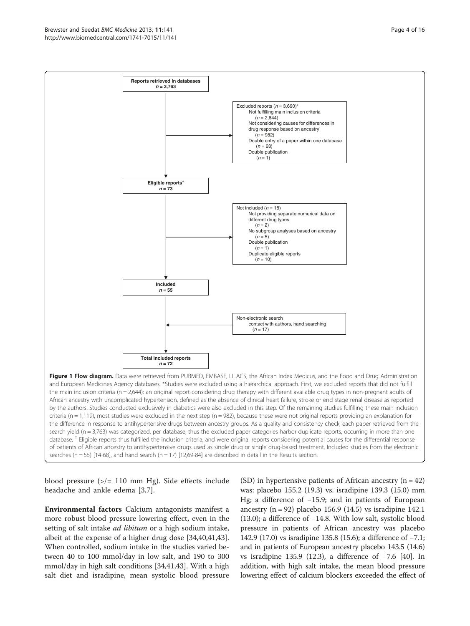<span id="page-3-0"></span>

blood pressure (>/= 110 mm Hg). Side effects include headache and ankle edema [[3,7\]](#page-13-0).

Environmental factors Calcium antagonists manifest a more robust blood pressure lowering effect, even in the setting of salt intake *ad libitum* or a high sodium intake, albeit at the expense of a higher drug dose [[34](#page-13-0)[,40,41,43](#page-14-0)]. When controlled, sodium intake in the studies varied between 40 to 100 mmol/day in low salt, and 190 to 300 mmol/day in high salt conditions [\[34](#page-13-0)[,41,43\]](#page-14-0). With a high salt diet and isradipine, mean systolic blood pressure

(SD) in hypertensive patients of African ancestry  $(n = 42)$ was: placebo 155.2 (19.3) vs. isradipine 139.3 (15.0) mm Hg; a difference of −15.9; and in patients of European ancestry (n = 92) placebo 156.9 (14.5) vs isradipine 142.1 (13.0); a difference of −14.8. With low salt, systolic blood pressure in patients of African ancestry was placebo 142.9 (17.0) vs isradipine 135.8 (15.6); a difference of −7.1; and in patients of European ancestry placebo 143.5 (14.6) vs isradipine 135.9 (12.3), a difference of −7.6 [\[40\]](#page-14-0). In addition, with high salt intake, the mean blood pressure lowering effect of calcium blockers exceeded the effect of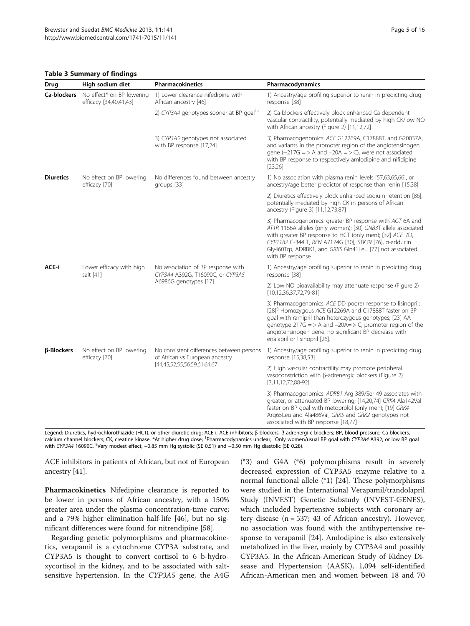#### <span id="page-4-0"></span>Table 3 Summary of findings

| Drug              | High sodium diet                                    | <b>Pharmacokinetics</b>                                                                                      | Pharmacodynamics                                                                                                                                                                                                                                                                                                                                        |
|-------------------|-----------------------------------------------------|--------------------------------------------------------------------------------------------------------------|---------------------------------------------------------------------------------------------------------------------------------------------------------------------------------------------------------------------------------------------------------------------------------------------------------------------------------------------------------|
| Ca-blockers       | No effect* on BP lowering<br>efficacy [34,40,41,43] | 1) Lower clearance nifedipine with<br>African ancestry [46]                                                  | 1) Ancestry/age profiling superior to renin in predicting drug<br>response [38]                                                                                                                                                                                                                                                                         |
|                   |                                                     | 2) CYP3A4 genotypes sooner at BP goal <sup>†‡</sup>                                                          | 2) Ca-blockers effectively block enhanced Ca-dependent<br>vascular contractility, potentially mediated by high CK/low NO<br>with African ancestry (Figure 2) [11,12,72]                                                                                                                                                                                 |
|                   |                                                     | 3) CYP3A5 genotypes not associated<br>with BP response [17,24]                                               | 3) Pharmacogenomics: ACE G12269A, C17888T, and G20037A,<br>and variants in the promoter region of the angiotensinogen<br>gene $(-217G = > A$ and $-20A = > C$ ), were not associated<br>with BP response to respectively amlodipine and nifidipine<br>[23, 26]                                                                                          |
| <b>Diuretics</b>  | No effect on BP lowering<br>efficacy [70]           | No differences found between ancestry<br>groups [33]                                                         | 1) No association with plasma renin levels [57,63,65,66], or<br>ancestry/age better predictor of response than renin [15,38]                                                                                                                                                                                                                            |
|                   |                                                     |                                                                                                              | 2) Diuretics effectively block enhanced sodium retention [86],<br>potentially mediated by high CK in persons of African<br>ancestry (Figure 3) [11,12,73,87]                                                                                                                                                                                            |
|                   |                                                     |                                                                                                              | 3) Pharmacogenomics: greater BP response with AGT 6A and<br>AT1R 1166A alleles (only women); [30] GNB3T allele associated<br>with greater BP response to HCT (only men); [32] ACE I/D,<br>CYP11B2 C-344 T, REN A7174G [30], STK39 [76], a-adducin<br>Gly460Trp, ADRBK1, and GRK5 Gln41Leu [77] not associated<br>with BP response                       |
| ACE-i             | Lower efficacy with high<br>salt [41]               | No association of BP response with<br>CYP3A4 A392G, T16090C, or CYP3A5<br>A6986G genotypes [17]              | 1) Ancestry/age profiling superior to renin in predicting drug<br>response [38]                                                                                                                                                                                                                                                                         |
|                   |                                                     |                                                                                                              | 2) Low NO bioavailability may attenuate response (Figure 2)<br>$[10, 12, 36, 37, 72, 79 - 81]$                                                                                                                                                                                                                                                          |
|                   |                                                     |                                                                                                              | 3) Pharmacogenomics: ACE DD poorer response to lisinopril;<br>[28] <sup>§</sup> Homozygous ACE G12269A and C17888T faster on BP<br>goal with ramipril than heterozygous genotypes; [23] AA<br>genotype $217G = > A$ and $-20A = > C$ , promoter region of the<br>angiotensinogen gene: no significant BP decrease with<br>enalapril or lisinopril [26]. |
| <b>B-Blockers</b> | No effect on BP lowering<br>efficacy [70]           | No consistent differences between persons<br>of African vs European ancestry<br>[44,45,52,55,56,59,61,64,67] | 1) Ancestry/age profiling superior to renin in predicting drug<br>response [15,38,53]                                                                                                                                                                                                                                                                   |
|                   |                                                     |                                                                                                              | 2) High vascular contractility may promote peripheral<br>vasoconstriction with β-adrenergic blockers (Figure 2)<br>$[3,11,12,72,88-92]$                                                                                                                                                                                                                 |
|                   |                                                     |                                                                                                              | 3) Pharmacogenomics: ADRB1 Arg 389/Ser 49 associates with<br>greater, or attenuated BP lowering; [14,20,74] GRK4 Ala142Val<br>faster on BP goal with metoprolol (only men); [19] GRK4<br>Arg65Leu and Ala486Val, GRK5 and GRK2 genotypes not<br>associated with BP response [18,77]                                                                     |

Legend: Diuretics, hydrochlorothiazide (HCT), or other diuretic drug; ACE-i, ACE inhibitors; β-blockers, β-adrenergi c blockers; BP, blood pressure; Ca-blockers, calcium channel blockers; CK, creatine kinase. \*At higher drug dose; <sup>†</sup>Pharmacodynamics unclear; <sup>‡</sup>Only women/usual BP goal with CYP3A4 A392; or low BP goal with CYP3A4 16090C. <sup>§</sup>Very modest effect, −0.85 mm Hg systolic (SE 0.51) and −0.50 mm Hg diastolic (SE 0.28).

ACE inhibitors in patients of African, but not of European ancestry [\[41](#page-14-0)].

Pharmacokinetics Nifedipine clearance is reported to be lower in persons of African ancestry, with a 150% greater area under the plasma concentration-time curve; and a 79% higher elimination half-life [\[46](#page-14-0)], but no significant differences were found for nitrendipine [\[58\]](#page-14-0).

Regarding genetic polymorphisms and pharmacokinetics, verapamil is a cytochrome CYP3A substrate, and CYP3A5 is thought to convert cortisol to 6 b-hydroxycortisol in the kidney, and to be associated with saltsensitive hypertension. In the CYP3A5 gene, the A4G

(\*3) and G4A (\*6) polymorphisms result in severely decreased expression of CYP3A5 enzyme relative to a normal functional allele (\*1) [[24\]](#page-13-0). These polymorphisms were studied in the International Verapamil/trandolapril Study (INVEST) Genetic Substudy (INVEST-GENES), which included hypertensive subjects with coronary artery disease  $(n = 537; 43$  of African ancestry). However, no association was found with the antihypertensive response to verapamil [\[24](#page-13-0)]. Amlodipine is also extensively metabolized in the liver, mainly by CYP3A4 and possibly CYP3A5. In the African-American Study of Kidney Disease and Hypertension (AASK), 1,094 self-identified African-American men and women between 18 and 70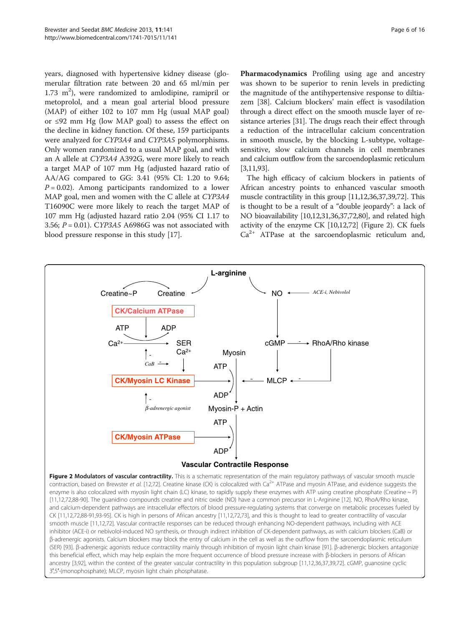<span id="page-5-0"></span>years, diagnosed with hypertensive kidney disease (glomerular filtration rate between 20 and 65 ml/min per 1.73  $m^2$ ), were randomized to amlodipine, ramipril or metoprolol, and a mean goal arterial blood pressure (MAP) of either 102 to 107 mm Hg (usual MAP goal) or ≤92 mm Hg (low MAP goal) to assess the effect on the decline in kidney function. Of these, 159 participants were analyzed for CYP3A4 and CYP3A5 polymorphisms. Only women randomized to a usual MAP goal, and with an A allele at CYP3A4 A392G, were more likely to reach a target MAP of 107 mm Hg (adjusted hazard ratio of AA/AG compared to GG: 3.41 (95% CI: 1.20 to 9.64;  $P = 0.02$ ). Among participants randomized to a lower MAP goal, men and women with the C allele at CYP3A4 T16090C were more likely to reach the target MAP of 107 mm Hg (adjusted hazard ratio 2.04 (95% CI 1.17 to 3.56;  $P = 0.01$ ). CYP3A5 A6986G was not associated with blood pressure response in this study [\[17](#page-13-0)].

Pharmacodynamics Profiling using age and ancestry was shown to be superior to renin levels in predicting the magnitude of the antihypertensive response to diltiazem [\[38\]](#page-14-0). Calcium blockers' main effect is vasodilation through a direct effect on the smooth muscle layer of resistance arteries [\[31\]](#page-13-0). The drugs reach their effect through a reduction of the intracellular calcium concentration in smooth muscle, by the blocking L-subtype, voltagesensitive, slow calcium channels in cell membranes and calcium outflow from the sarcoendoplasmic reticulum [[3,11](#page-13-0)[,93](#page-15-0)].

The high efficacy of calcium blockers in patients of African ancestry points to enhanced vascular smooth muscle contractility in this group [[11,12,](#page-13-0)[36,37,39,72\]](#page-14-0). This is thought to be a result of a "double jeopardy": a lack of NO bioavailability [\[10,12,31](#page-13-0)[,36,37,72](#page-14-0)[,80\]](#page-15-0), and related high activity of the enzyme CK [\[10,12,](#page-13-0)[72](#page-14-0)] (Figure 2). CK fuels  $Ca<sup>2+</sup>$  ATPase at the sarcoendoplasmic reticulum and,



Figure 2 Modulators of vascular contractility. This is a schematic representation of the main requlatory pathways of vascular smooth muscle contraction, based on Brewster et al. [\[12](#page-13-0)[,72\]](#page-14-0). Creatine kinase (CK) is colocalized with Ca<sup>2+</sup> ATPase and myosin ATPase, and evidence suggests the enzyme is also colocalized with myosin light chain (LC) kinase, to rapidly supply these enzymes with ATP using creatine phosphate (Creatine ~ P) [[11](#page-13-0),[12](#page-13-0),[72](#page-14-0),[88](#page-15-0)-[90](#page-15-0)]. The guanidino compounds creatine and nitric oxide (NO) have a common precursor in L-Arginine [\[12\]](#page-13-0). NO, RhoA/Rho kinase, and calcium-dependent pathways are intracellular effectors of blood pressure-regulating systems that converge on metabolic processes fueled by CK [[11](#page-13-0),[12](#page-13-0)[,72](#page-14-0),[88-91,93-95](#page-15-0)]. CK is high in persons of African ancestry [[11](#page-13-0),[12](#page-13-0),[72](#page-14-0),[73](#page-14-0)], and this is thought to lead to greater contractility of vascular smooth muscle [[11](#page-13-0),[12](#page-13-0),[72](#page-14-0)]. Vascular contractile responses can be reduced through enhancing NO-dependent pathways, including with ACE inhibitor (ACE-i) or nebivolol-induced NO synthesis, or through indirect inhibition of CK-dependent pathways, as with calcium blockers (CaB) or β-adrenergic agonists. Calcium blockers may block the entry of calcium in the cell as well as the outflow from the sarcoendoplasmic reticulum (SER) [[93](#page-15-0)]. β-adrenergic agonists reduce contractility mainly through inhibition of myosin light chain kinase [\[91](#page-15-0)]. β-adrenergic blockers antagonize this beneficial effect, which may help explain the more frequent occurrence of blood pressure increase with β-blockers in persons of African ancestry [\[3](#page-13-0),[92](#page-15-0)], within the context of the greater vascular contractility in this population subgroup [[11](#page-13-0),[12](#page-13-0),[36](#page-14-0),[37](#page-14-0),[39](#page-14-0),[72](#page-14-0)]. cGMP, guanosine cyclic 3′,5′-(monophosphate); MLCP, myosin light chain phosphatase.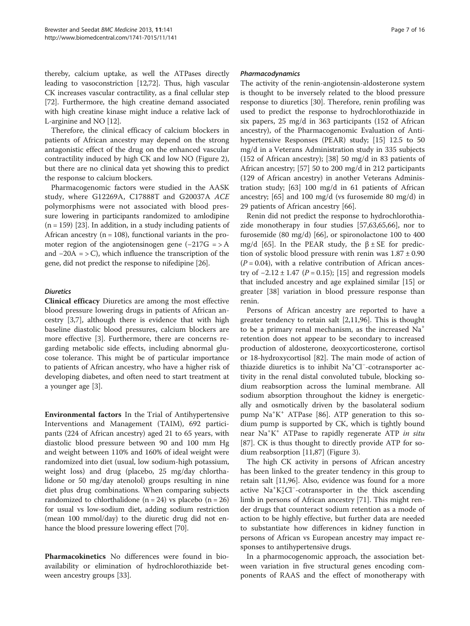thereby, calcium uptake, as well the ATPases directly leading to vasoconstriction [[12](#page-13-0)[,72\]](#page-14-0). Thus, high vascular CK increases vascular contractility, as a final cellular step [[72](#page-14-0)]. Furthermore, the high creatine demand associated with high creatine kinase might induce a relative lack of L-arginine and NO [[12](#page-13-0)].

Therefore, the clinical efficacy of calcium blockers in patients of African ancestry may depend on the strong antagonistic effect of the drug on the enhanced vascular contractility induced by high CK and low NO (Figure [2](#page-5-0)), but there are no clinical data yet showing this to predict the response to calcium blockers.

Pharmacogenomic factors were studied in the AASK study, where G12269A, C17888T and G20037A ACE polymorphisms were not associated with blood pressure lowering in participants randomized to amlodipine  $(n = 159)$  [\[23\]](#page-13-0). In addition, in a study including patients of African ancestry ( $n = 108$ ), functional variants in the promoter region of the angiotensinogen gene  $(-217G = > A$ and  $-20A = \sum$ , which influence the transcription of the gene, did not predict the response to nifedipine [\[26\]](#page-13-0).

### **Diuretics**

Clinical efficacy Diuretics are among the most effective blood pressure lowering drugs in patients of African ancestry [[3](#page-13-0),[7\]](#page-13-0), although there is evidence that with high baseline diastolic blood pressures, calcium blockers are more effective [\[3](#page-13-0)]. Furthermore, there are concerns regarding metabolic side effects, including abnormal glucose tolerance. This might be of particular importance to patients of African ancestry, who have a higher risk of developing diabetes, and often need to start treatment at a younger age [[3](#page-13-0)].

Environmental factors In the Trial of Antihypertensive Interventions and Management (TAIM), 692 participants (224 of African ancestry) aged 21 to 65 years, with diastolic blood pressure between 90 and 100 mm Hg and weight between 110% and 160% of ideal weight were randomized into diet (usual, low sodium-high potassium, weight loss) and drug (placebo, 25 mg/day chlorthalidone or 50 mg/day atenolol) groups resulting in nine diet plus drug combinations. When comparing subjects randomized to chlorthalidone ( $n = 24$ ) vs placebo ( $n = 26$ ) for usual vs low-sodium diet, adding sodium restriction (mean 100 mmol/day) to the diuretic drug did not enhance the blood pressure lowering effect [\[70\]](#page-14-0).

Pharmacokinetics No differences were found in bioavailability or elimination of hydrochlorothiazide between ancestry groups [\[33\]](#page-13-0).

### Pharmacodynamics

The activity of the renin-angiotensin-aldosterone system is thought to be inversely related to the blood pressure response to diuretics [[30\]](#page-13-0). Therefore, renin profiling was used to predict the response to hydrochlorothiazide in six papers, 25 mg/d in 363 participants (152 of African ancestry), of the Pharmacogenomic Evaluation of Antihypertensive Responses (PEAR) study; [[15](#page-13-0)] 12.5 to 50 mg/d in a Veterans Administration study in 335 subjects (152 of African ancestry); [\[38](#page-14-0)] 50 mg/d in 83 patients of African ancestry; [[57\]](#page-14-0) 50 to 200 mg/d in 212 participants (129 of African ancestry) in another Veterans Administration study; [[63](#page-14-0)] 100 mg/d in 61 patients of African ancestry; [\[65\]](#page-14-0) and 100 mg/d (vs furosemide 80 mg/d) in 29 patients of African ancestry [[66](#page-14-0)].

Renin did not predict the response to hydrochlorothiazide monotherapy in four studies [[57](#page-14-0),[63](#page-14-0),[65,66](#page-14-0)], nor to furosemide (80 mg/d) [[66\]](#page-14-0), or spironolactone 100 to 400 mg/d [[65](#page-14-0)]. In the PEAR study, the  $β ± SE$  for prediction of systolic blood pressure with renin was  $1.87 \pm 0.90$  $(P = 0.04)$ , with a relative contribution of African ancestry of  $-2.12 \pm 1.47$  ( $P = 0.15$ ); [[15\]](#page-13-0) and regression models that included ancestry and age explained similar [\[15\]](#page-13-0) or greater [\[38\]](#page-14-0) variation in blood pressure response than renin.

Persons of African ancestry are reported to have a greater tendency to retain salt [\[2,11,](#page-13-0)[96\]](#page-15-0). This is thought to be a primary renal mechanism, as the increased Na<sup>+</sup> retention does not appear to be secondary to increased production of aldosterone, deoxycorticosterone, cortisol or 18-hydroxycortisol [[82\]](#page-15-0). The main mode of action of thiazide diuretics is to inhibit Na<sup>+</sup> Cl<sup>−</sup> -cotransporter activity in the renal distal convoluted tubule, blocking sodium reabsorption across the luminal membrane. All sodium absorption throughout the kidney is energetically and osmotically driven by the basolateral sodium pump Na<sup>+</sup>K<sup>+</sup> ATPase [[86](#page-15-0)]. ATP generation to this sodium pump is supported by CK, which is tightly bound near Na<sup>+</sup>K<sup>+</sup> ATPase to rapidly regenerate ATP in situ [[87\]](#page-15-0). CK is thus thought to directly provide ATP for sodium reabsorption [[11,](#page-13-0)[87](#page-15-0)] (Figure [3](#page-7-0)).

The high CK activity in persons of African ancestry has been linked to the greater tendency in this group to retain salt [[11,](#page-13-0)[96\]](#page-15-0). Also, evidence was found for a more active Na<sup>+</sup>K<sup>+</sup><sub>2</sub>Cl<sup>-</sup>-cotransporter in the thick ascending limb in persons of African ancestry [\[71](#page-14-0)]. This might render drugs that counteract sodium retention as a mode of action to be highly effective, but further data are needed to substantiate how differences in kidney function in persons of African vs European ancestry may impact responses to antihypertensive drugs.

In a pharmocogenomic approach, the association between variation in five structural genes encoding components of RAAS and the effect of monotherapy with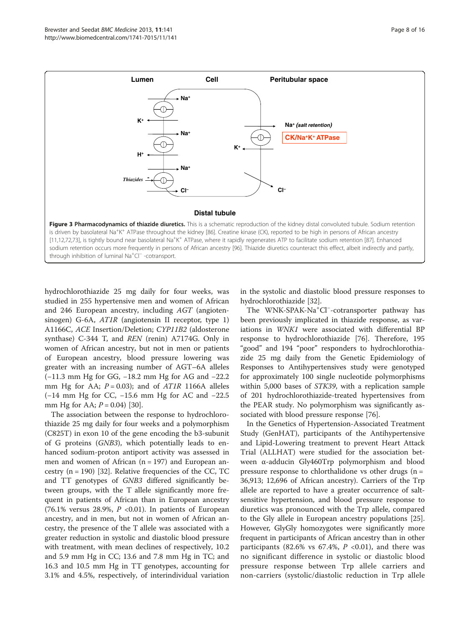<span id="page-7-0"></span>

hydrochlorothiazide 25 mg daily for four weeks, was studied in 255 hypertensive men and women of African and 246 European ancestry, including AGT (angiotensinogen) G-6A, AT1R (angiotensin II receptor, type 1) A1166C, ACE Insertion/Deletion; CYP11B2 (aldosterone synthase) C-344 T, and REN (renin) A7174G. Only in women of African ancestry, but not in men or patients of European ancestry, blood pressure lowering was greater with an increasing number of AGT–6A alleles (−11.3 mm Hg for GG, −18.2 mm Hg for AG and −22.2 mm Hg for AA;  $P = 0.03$ ); and of  $ATIR$  1166A alleles (−14 mm Hg for CC, −15.6 mm Hg for AC and −22.5 mm Hg for AA;  $P = 0.04$  [\[30](#page-13-0)].

The association between the response to hydrochlorothiazide 25 mg daily for four weeks and a polymorphism (C825T) in exon 10 of the gene encoding the b3-subunit of G proteins (GNB3), which potentially leads to enhanced sodium-proton antiport activity was assessed in men and women of African  $(n = 197)$  and European ancestry  $(n = 190)$  [[32\]](#page-13-0). Relative frequencies of the CC, TC and TT genotypes of GNB3 differed significantly between groups, with the T allele significantly more frequent in patients of African than in European ancestry (76.1% versus 28.9%,  $P$  <0.01). In patients of European ancestry, and in men, but not in women of African ancestry, the presence of the T allele was associated with a greater reduction in systolic and diastolic blood pressure with treatment, with mean declines of respectively, 10.2 and 5.9 mm Hg in CC; 13.6 and 7.8 mm Hg in TC; and 16.3 and 10.5 mm Hg in TT genotypes, accounting for 3.1% and 4.5%, respectively, of interindividual variation

in the systolic and diastolic blood pressure responses to hydrochlorothiazide [[32](#page-13-0)].

The WNK-SPAK-Na<sup>+</sup>Cl<sup>-</sup>-cotransporter pathway has been previously implicated in thiazide response, as variations in WNK1 were associated with differential BP response to hydrochlorothiazide [\[76](#page-14-0)]. Therefore, 195 "good" and 194 "poor" responders to hydrochlorothiazide 25 mg daily from the Genetic Epidemiology of Responses to Antihypertensives study were genotyped for approximately 100 single nucleotide polymorphisms within 5,000 bases of STK39, with a replication sample of 201 hydrochlorothiazide-treated hypertensives from the PEAR study. No polymorphism was significantly associated with blood pressure response [[76\]](#page-14-0).

In the Genetics of Hypertension-Associated Treatment Study (GenHAT), participants of the Antihypertensive and Lipid-Lowering treatment to prevent Heart Attack Trial (ALLHAT) were studied for the association between α-adducin Gly460Trp polymorphism and blood pressure response to chlorthalidone vs other drugs  $(n =$ 36,913; 12,696 of African ancestry). Carriers of the Trp allele are reported to have a greater occurrence of saltsensitive hypertension, and blood pressure response to diuretics was pronounced with the Trp allele, compared to the Gly allele in European ancestry populations [\[25](#page-13-0)]. However, GlyGly homozygotes were significantly more frequent in participants of African ancestry than in other participants (82.6% vs 67.4%,  $P \le 0.01$ ), and there was no significant difference in systolic or diastolic blood pressure response between Trp allele carriers and non-carriers (systolic/diastolic reduction in Trp allele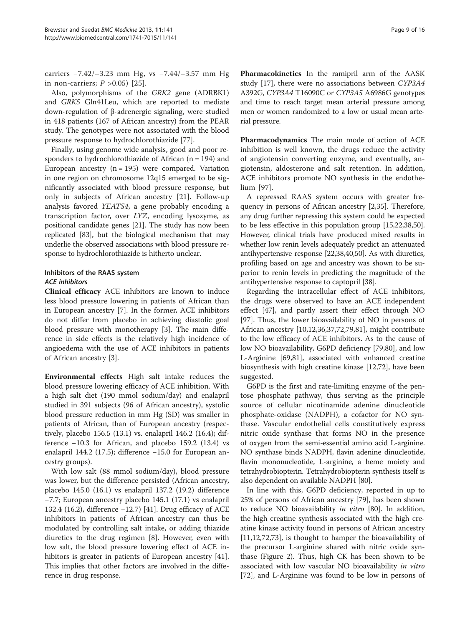carriers −7.42/–3.23 mm Hg, vs −7.44/–3.57 mm Hg in non-carriers;  $P > 0.05$  [[25](#page-13-0)].

Also, polymorphisms of the GRK2 gene (ADRBK1) and GRK5 Gln41Leu, which are reported to mediate down-regulation of β-adrenergic signaling, were studied in 418 patients (167 of African ancestry) from the PEAR study. The genotypes were not associated with the blood pressure response to hydrochlorothiazide [[77\]](#page-14-0).

Finally, using genome wide analysis, good and poor responders to hydrochlorothiazide of African (n = 194) and European ancestry  $(n = 195)$  were compared. Variation in one region on chromosome 12q15 emerged to be significantly associated with blood pressure response, but only in subjects of African ancestry [\[21](#page-13-0)]. Follow-up analysis favored YEATS4, a gene probably encoding a transcription factor, over LYZ, encoding lysozyme, as positional candidate genes [\[21](#page-13-0)]. The study has now been replicated [[83](#page-15-0)], but the biological mechanism that may underlie the observed associations with blood pressure response to hydrochlorothiazide is hitherto unclear.

# Inhibitors of the RAAS system ACE inhibitors

Clinical efficacy ACE inhibitors are known to induce less blood pressure lowering in patients of African than in European ancestry [[7\]](#page-13-0). In the former, ACE inhibitors do not differ from placebo in achieving diastolic goal blood pressure with monotherapy [\[3](#page-13-0)]. The main difference in side effects is the relatively high incidence of angioedema with the use of ACE inhibitors in patients of African ancestry [[3](#page-13-0)].

Environmental effects High salt intake reduces the blood pressure lowering efficacy of ACE inhibition. With a high salt diet (190 mmol sodium/day) and enalapril studied in 391 subjects (96 of African ancestry), systolic blood pressure reduction in mm Hg (SD) was smaller in patients of African, than of European ancestry (respectively, placebo 156.5 (13.1) vs. enalapril 146.2 (16.4); difference −10.3 for African, and placebo 159.2 (13.4) vs enalapril 144.2 (17.5); difference −15.0 for European ancestry groups).

With low salt (88 mmol sodium/day), blood pressure was lower, but the difference persisted (African ancestry, placebo 145.0 (16.1) vs enalapril 137.2 (19.2) difference −7.7; European ancestry placebo 145.1 (17.1) vs enalapril 132.4 (16.2), difference −12.7) [\[41\]](#page-14-0). Drug efficacy of ACE inhibitors in patients of African ancestry can thus be modulated by controlling salt intake, or adding thiazide diuretics to the drug regimen [[8\]](#page-13-0). However, even with low salt, the blood pressure lowering effect of ACE in-hibitors is greater in patients of European ancestry [\[41](#page-14-0)]. This implies that other factors are involved in the difference in drug response.

Pharmacokinetics In the ramipril arm of the AASK study [[17](#page-13-0)], there were no associations between CYP3A4 A392G, CYP3A4 T16090C or CYP3A5 A6986G genotypes and time to reach target mean arterial pressure among men or women randomized to a low or usual mean arterial pressure.

Pharmacodynamics The main mode of action of ACE inhibition is well known, the drugs reduce the activity of angiotensin converting enzyme, and eventually, angiotensin, aldosterone and salt retention. In addition, ACE inhibitors promote NO synthesis in the endothelium [[97\]](#page-15-0).

A repressed RAAS system occurs with greater frequency in persons of African ancestry [\[2](#page-13-0)[,35](#page-14-0)]. Therefore, any drug further repressing this system could be expected to be less effective in this population group [[15,22](#page-13-0)[,38,50](#page-14-0)]. However, clinical trials have produced mixed results in whether low renin levels adequately predict an attenuated antihypertensive response [\[22](#page-13-0)[,38,40,50](#page-14-0)]. As with diuretics, profiling based on age and ancestry was shown to be superior to renin levels in predicting the magnitude of the antihypertensive response to captopril [\[38](#page-14-0)].

Regarding the intracellular effect of ACE inhibitors, the drugs were observed to have an ACE independent effect [\[47](#page-14-0)], and partly assert their effect through NO [[97\]](#page-15-0). Thus, the lower bioavailability of NO in persons of African ancestry [[10](#page-13-0),[12](#page-13-0),[36,37,72](#page-14-0)[,79,81](#page-15-0)], might contribute to the low efficacy of ACE inhibitors. As to the cause of low NO bioavailability, G6PD deficiency [[79,80\]](#page-15-0), and low L-Arginine [\[69](#page-14-0)[,81](#page-15-0)], associated with enhanced creatine biosynthesis with high creatine kinase [\[12](#page-13-0)[,72\]](#page-14-0), have been suggested.

G6PD is the first and rate-limiting enzyme of the pentose phosphate pathway, thus serving as the principle source of cellular nicotinamide adenine dinucleotide phosphate-oxidase (NADPH), a cofactor for NO synthase. Vascular endothelial cells constitutively express nitric oxide synthase that forms NO in the presence of oxygen from the semi-essential amino acid L-arginine. NO synthase binds NADPH, flavin adenine dinucleotide, flavin mononucleotide, L-arginine, a heme moiety and tetrahydrobiopterin. Tetrahydrobiopterin synthesis itself is also dependent on available NADPH [\[80\]](#page-15-0).

In line with this, G6PD deficiency, reported in up to 25% of persons of African ancestry [[79](#page-15-0)], has been shown to reduce NO bioavailability in vitro [[80](#page-15-0)]. In addition, the high creatine synthesis associated with the high creatine kinase activity found in persons of African ancestry [[11,12,](#page-13-0)[72,73\]](#page-14-0), is thought to hamper the bioavailability of the precursor L-arginine shared with nitric oxide synthase (Figure [2](#page-5-0)). Thus, high CK has been shown to be associated with low vascular NO bioavailability in vitro [[72\]](#page-14-0), and L-Arginine was found to be low in persons of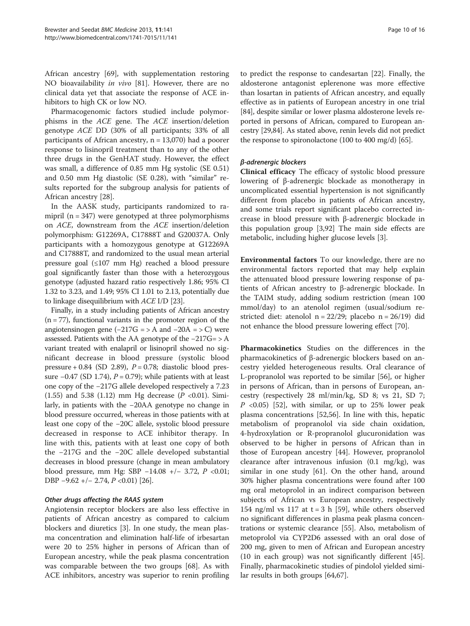African ancestry [\[69](#page-14-0)], with supplementation restoring NO bioavailability in vivo [\[81](#page-15-0)]. However, there are no clinical data yet that associate the response of ACE inhibitors to high CK or low NO.

Pharmacogenomic factors studied include polymorphisms in the ACE gene. The ACE insertion/deletion genotype ACE DD (30% of all participants; 33% of all participants of African ancestry, n = 13,070) had a poorer response to lisinopril treatment than to any of the other three drugs in the GenHAT study. However, the effect was small, a difference of 0.85 mm Hg systolic (SE 0.51) and 0.50 mm Hg diastolic (SE 0.28), with "similar" results reported for the subgroup analysis for patients of African ancestry [[28](#page-13-0)].

In the AASK study, participants randomized to ramipril ( $n = 347$ ) were genotyped at three polymorphisms on ACE, downstream from the ACE insertion/deletion polymorphism: G12269A, C17888T and G20037A. Only participants with a homozygous genotype at G12269A and C17888T, and randomized to the usual mean arterial pressure goal (≤107 mm Hg) reached a blood pressure goal significantly faster than those with a heterozygous genotype (adjusted hazard ratio respectively 1.86; 95% CI 1.32 to 3.23, and 1.49; 95% CI 1.01 to 2.13, potentially due to linkage disequilibrium with ACE I/D [\[23\]](#page-13-0).

Finally, in a study including patients of African ancestry  $(n = 77)$ , functional variants in the promoter region of the angiotensinogen gene  $(-217G = > A$  and  $-20A = > C$ ) were assessed. Patients with the AA genotype of the −217G= > A variant treated with enalapril or lisinopril showed no significant decrease in blood pressure (systolic blood pressure + 0.84 (SD 2.89),  $P = 0.78$ ; diastolic blood pressure  $-0.47$  (SD 1.74),  $P = 0.79$ ); while patients with at least one copy of the −217G allele developed respectively a 7.23 (1.55) and 5.38 (1.12) mm Hg decrease ( $P < 0.01$ ). Similarly, in patients with the −20AA genotype no change in blood pressure occurred, whereas in those patients with at least one copy of the −20C allele, systolic blood pressure decreased in response to ACE inhibitor therapy. In line with this, patients with at least one copy of both the −217G and the −20C allele developed substantial decreases in blood pressure (change in mean ambulatory blood pressure, mm Hg: SBP −14.08 +/− 3.72, P <0.01; DBP −9.62 +/− 2.74, P <0.01) [[26](#page-13-0)].

# Other drugs affecting the RAAS system

Angiotensin receptor blockers are also less effective in patients of African ancestry as compared to calcium blockers and diuretics [\[3](#page-13-0)]. In one study, the mean plasma concentration and elimination half-life of irbesartan were 20 to 25% higher in persons of African than of European ancestry, while the peak plasma concentration was comparable between the two groups [\[68\]](#page-14-0). As with ACE inhibitors, ancestry was superior to renin profiling to predict the response to candesartan [[22](#page-13-0)]. Finally, the aldosterone antagonist eplerenone was more effective than losartan in patients of African ancestry, and equally effective as in patients of European ancestry in one trial [[84](#page-15-0)], despite similar or lower plasma aldosterone levels reported in persons of African, compared to European ancestry [[29](#page-13-0),[84](#page-15-0)]. As stated above, renin levels did not predict the response to spironolactone (100 to 400 mg/d) [\[65\]](#page-14-0).

# β-adrenergic blockers

Clinical efficacy The efficacy of systolic blood pressure lowering of β-adrenergic blockade as monotherapy in uncomplicated essential hypertension is not significantly different from placebo in patients of African ancestry, and some trials report significant placebo corrected increase in blood pressure with β-adrenergic blockade in this population group [[3](#page-13-0),[92](#page-15-0)] The main side effects are metabolic, including higher glucose levels [\[3](#page-13-0)].

Environmental factors To our knowledge, there are no environmental factors reported that may help explain the attenuated blood pressure lowering response of patients of African ancestry to β-adrenergic blockade. In the TAIM study, adding sodium restriction (mean 100 mmol/day) to an atenolol regimen (usual/sodium restricted diet: atenolol  $n = 22/29$ ; placebo  $n = 26/19$ ) did not enhance the blood pressure lowering effect [[70](#page-14-0)].

Pharmacokinetics Studies on the differences in the pharmacokinetics of β-adrenergic blockers based on ancestry yielded heterogeneous results. Oral clearance of L-propranolol was reported to be similar [[56](#page-14-0)], or higher in persons of African, than in persons of European, ancestry (respectively 28 ml/min/kg, SD 8; vs 21, SD 7;  $P \le 0.05$  [\[52\]](#page-14-0), with similar, or up to 25% lower peak plasma concentrations [[52,56](#page-14-0)]. In line with this, hepatic metabolism of propranolol via side chain oxidation, 4-hydroxylation or R-propranolol glucuronidation was observed to be higher in persons of African than in those of European ancestry [\[44](#page-14-0)]. However, propranolol clearance after intravenous infusion (0.1 mg/kg), was similar in one study [[61\]](#page-14-0). On the other hand, around 30% higher plasma concentrations were found after 100 mg oral metoprolol in an indirect comparison between subjects of African vs European ancestry, respectively 154 ng/ml vs 117 at  $t = 3$  h [\[59\]](#page-14-0), while others observed no significant differences in plasma peak plasma concentrations or systemic clearance [[55\]](#page-14-0). Also, metabolism of metoprolol via CYP2D6 assessed with an oral dose of 200 mg, given to men of African and European ancestry (10 in each group) was not significantly different [\[45](#page-14-0)]. Finally, pharmacokinetic studies of pindolol yielded similar results in both groups [[64](#page-14-0),[67](#page-14-0)].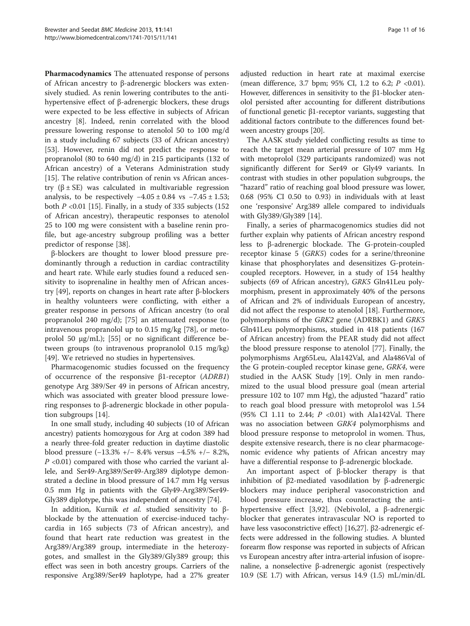Pharmacodynamics The attenuated response of persons of African ancestry to β-adrenergic blockers was extensively studied. As renin lowering contributes to the antihypertensive effect of β-adrenergic blockers, these drugs were expected to be less effective in subjects of African ancestry [\[8](#page-13-0)]. Indeed, renin correlated with the blood pressure lowering response to atenolol 50 to 100 mg/d in a study including 67 subjects (33 of African ancestry) [[53\]](#page-14-0). However, renin did not predict the response to propranolol (80 to 640 mg/d) in 215 participants (132 of African ancestry) of a Veterans Administration study [[15\]](#page-13-0). The relative contribution of renin vs African ancestry ( $β$  ± SE) was calculated in multivariable regression analysis, to be respectively  $-4.05 \pm 0.84$  vs  $-7.45 \pm 1.53$ ; both  $P \le 0.01$  [\[15\]](#page-13-0). Finally, in a study of 335 subjects (152) of African ancestry), therapeutic responses to atenolol 25 to 100 mg were consistent with a baseline renin profile, but age-ancestry subgroup profiling was a better predictor of response [[38\]](#page-14-0).

β-blockers are thought to lower blood pressure predominantly through a reduction in cardiac contractility and heart rate. While early studies found a reduced sensitivity to isoprenaline in healthy men of African ancestry [\[49\]](#page-14-0), reports on changes in heart rate after β-blockers in healthy volunteers were conflicting, with either a greater response in persons of African ancestry (to oral propranolol 240 mg/d); [[75](#page-14-0)] an attenuated response (to intravenous propranolol up to 0.15 mg/kg [[78\]](#page-14-0), or metoprolol 50 μg/mL); [\[55](#page-14-0)] or no significant difference between groups (to intravenous propranolol 0.15 mg/kg) [[49\]](#page-14-0). We retrieved no studies in hypertensives.

Pharmacogenomic studies focussed on the frequency of occurrence of the responsive β1-receptor (ADRB1) genotype Arg 389/Ser 49 in persons of African ancestry, which was associated with greater blood pressure lowering responses to β-adrenergic blockade in other population subgroups [\[14\]](#page-13-0).

In one small study, including 40 subjects (10 of African ancestry) patients homozygous for Arg at codon 389 had a nearly three-fold greater reduction in daytime diastolic blood pressure (−13.3% +/− 8.4% versus −4.5% +/− 8.2%,  $P$  <0.01) compared with those who carried the variant allele, and Ser49-Arg389/Ser49-Arg389 diplotype demonstrated a decline in blood pressure of 14.7 mm Hg versus 0.5 mm Hg in patients with the Gly49-Arg389/Ser49- Gly389 diplotype, this was independent of ancestry [[74](#page-14-0)].

In addition, Kurnik et al. studied sensitivity to βblockade by the attenuation of exercise-induced tachycardia in 165 subjects (73 of African ancestry), and found that heart rate reduction was greatest in the Arg389/Arg389 group, intermediate in the heterozygotes, and smallest in the Gly389/Gly389 group; this effect was seen in both ancestry groups. Carriers of the responsive Arg389/Ser49 haplotype, had a 27% greater

adjusted reduction in heart rate at maximal exercise (mean difference, 3.7 bpm; 95% CI, 1.2 to 6.2;  $P < 0.01$ ). However, differences in sensitivity to the β1-blocker atenolol persisted after accounting for different distributions of functional genetic β1-receptor variants, suggesting that additional factors contribute to the differences found between ancestry groups [[20](#page-13-0)].

The AASK study yielded conflicting results as time to reach the target mean arterial pressure of 107 mm Hg with metoprolol (329 participants randomized) was not significantly different for Ser49 or Gly49 variants. In contrast with studies in other population subgroups, the "hazard" ratio of reaching goal blood pressure was lower, 0.68 (95% CI 0.50 to 0.93) in individuals with at least one 'responsive' Arg389 allele compared to individuals with Gly389/Gly389 [\[14\]](#page-13-0).

Finally, a series of pharmacogenomics studies did not further explain why patients of African ancestry respond less to β-adrenergic blockade. The G-protein-coupled receptor kinase 5 (GRK5) codes for a serine/threonine kinase that phosphorylates and desensitizes G-proteincoupled receptors. However, in a study of 154 healthy subjects (69 of African ancestry), GRK5 Gln41Leu polymorphism, present in approximately 40% of the persons of African and 2% of individuals European of ancestry, did not affect the response to atenolol [\[18](#page-13-0)]. Furthermore, polymorphisms of the GRK2 gene (ADRBK1) and GRK5 Gln41Leu polymorphisms, studied in 418 patients (167 of African ancestry) from the PEAR study did not affect the blood pressure response to atenolol [[77\]](#page-14-0). Finally, the polymorphisms Arg65Leu, Ala142Val, and Ala486Val of the G protein-coupled receptor kinase gene, GRK4, were studied in the AASK Study [[19\]](#page-13-0). Only in men randomized to the usual blood pressure goal (mean arterial pressure 102 to 107 mm Hg), the adjusted "hazard" ratio to reach goal blood pressure with metoprolol was 1.54 (95% CI 1.11 to 2.44;  $P \le 0.01$ ) with Ala142Val. There was no association between GRK4 polymorphisms and blood pressure response to metoprolol in women. Thus, despite extensive research, there is no clear pharmacogenomic evidence why patients of African ancestry may have a differential response to β-adrenergic blockade.

An important aspect of β-blocker therapy is that inhibition of β2-mediated vasodilation by β-adrenergic blockers may induce peripheral vasoconstriction and blood pressure increase, thus counteracting the antihypertensive effect [\[3](#page-13-0)[,92](#page-15-0)]. (Nebivolol, a β-adrenergic blocker that generates intravascular NO is reported to have less vasoconstrictive effect) [\[16,27\]](#page-13-0). β2-adrenergic effects were addressed in the following studies. A blunted forearm flow response was reported in subjects of African vs European ancestry after intra-arterial infusion of isoprenaline, a nonselective β-adrenergic agonist (respectively 10.9 (SE 1.7) with African, versus 14.9 (1.5) mL/min/dL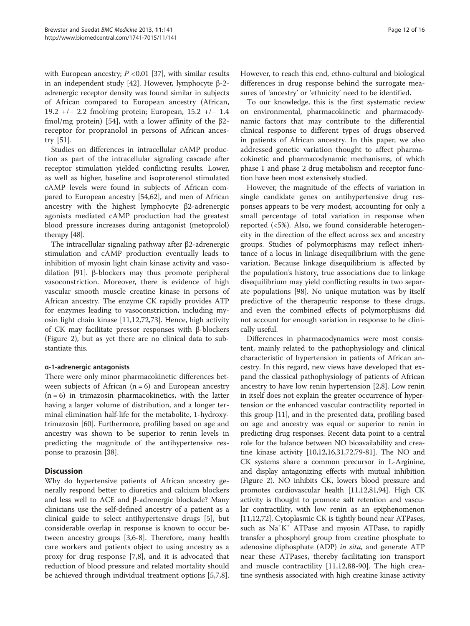with European ancestry;  $P < 0.01$  [\[37\]](#page-14-0), with similar results in an independent study [[42](#page-14-0)]. However, lymphocyte β-2 adrenergic receptor density was found similar in subjects of African compared to European ancestry (African, 19.2 +/− 2.2 fmol/mg protein; European, 15.2 +/− 1.4 fmol/mg protein) [\[54](#page-14-0)], with a lower affinity of the β2 receptor for propranolol in persons of African ancestry [\[51](#page-14-0)].

Studies on differences in intracellular cAMP production as part of the intracellular signaling cascade after receptor stimulation yielded conflicting results. Lower, as well as higher, baseline and isoproterenol stimulated cAMP levels were found in subjects of African compared to European ancestry [[54,62\]](#page-14-0), and men of African ancestry with the highest lymphocyte β2-adrenergic agonists mediated cAMP production had the greatest blood pressure increases during antagonist (metoprolol) therapy [\[48\]](#page-14-0).

The intracellular signaling pathway after β2-adrenergic stimulation and cAMP production eventually leads to inhibition of myosin light chain kinase activity and vasodilation [\[91\]](#page-15-0). β-blockers may thus promote peripheral vasoconstriction. Moreover, there is evidence of high vascular smooth muscle creatine kinase in persons of African ancestry. The enzyme CK rapidly provides ATP for enzymes leading to vasoconstriction, including myosin light chain kinase [[11,12,](#page-13-0)[72,73\]](#page-14-0). Hence, high activity of CK may facilitate pressor responses with β-blockers (Figure [2\)](#page-5-0), but as yet there are no clinical data to substantiate this.

# α-1-adrenergic antagonists

There were only minor pharmacokinetic differences between subjects of African  $(n = 6)$  and European ancestry  $(n = 6)$  in trimazosin pharmacokinetics, with the latter having a larger volume of distribution, and a longer terminal elimination half-life for the metabolite, 1-hydroxytrimazosin [\[60\]](#page-14-0). Furthermore, profiling based on age and ancestry was shown to be superior to renin levels in predicting the magnitude of the antihypertensive response to prazosin [\[38](#page-14-0)].

# **Discussion**

Why do hypertensive patients of African ancestry generally respond better to diuretics and calcium blockers and less well to ACE and β-adrenergic blockade? Many clinicians use the self-defined ancestry of a patient as a clinical guide to select antihypertensive drugs [[5\]](#page-13-0), but considerable overlap in response is known to occur between ancestry groups [\[3,6](#page-13-0)-[8\]](#page-13-0). Therefore, many health care workers and patients object to using ancestry as a proxy for drug response [\[7,8](#page-13-0)], and it is advocated that reduction of blood pressure and related mortality should be achieved through individual treatment options [\[5,7,8](#page-13-0)].

However, to reach this end, ethno-cultural and biological differences in drug response behind the surrogate measures of 'ancestry' or 'ethnicity' need to be identified.

To our knowledge, this is the first systematic review on environmental, pharmacokinetic and pharmacodynamic factors that may contribute to the differential clinical response to different types of drugs observed in patients of African ancestry. In this paper, we also addressed genetic variation thought to affect pharmacokinetic and pharmacodynamic mechanisms, of which phase 1 and phase 2 drug metabolism and receptor function have been most extensively studied.

However, the magnitude of the effects of variation in single candidate genes on antihypertensive drug responses appears to be very modest, accounting for only a small percentage of total variation in response when reported (<5%). Also, we found considerable heterogeneity in the direction of the effect across sex and ancestry groups. Studies of polymorphisms may reflect inheritance of a locus in linkage disequilibrium with the gene variation. Because linkage disequilibrium is affected by the population's history, true associations due to linkage disequilibrium may yield conflicting results in two separate populations [\[98\]](#page-15-0). No unique mutation was by itself predictive of the therapeutic response to these drugs, and even the combined effects of polymorphisms did not account for enough variation in response to be clinically useful.

Differences in pharmacodynamics were most consistent, mainly related to the pathophysiology and clinical characteristic of hypertension in patients of African ancestry. In this regard, new views have developed that expand the classical pathophysiology of patients of African ancestry to have low renin hypertension [\[2,8\]](#page-13-0). Low renin in itself does not explain the greater occurrence of hypertension or the enhanced vascular contractility reported in this group [\[11\]](#page-13-0), and in the presented data, profiling based on age and ancestry was equal or superior to renin in predicting drug responses. Recent data point to a central role for the balance between NO bioavailability and creatine kinase activity [\[10,12,16,31](#page-13-0)[,72,](#page-14-0)[79-81\]](#page-15-0). The NO and CK systems share a common precursor in L-Arginine, and display antagonizing effects with mutual inhibition (Figure [2\)](#page-5-0). NO inhibits CK, lowers blood pressure and promotes cardiovascular health [[11,12,](#page-13-0)[81,94](#page-15-0)]. High CK activity is thought to promote salt retention and vascular contractility, with low renin as an epiphenomenon [[11](#page-13-0),[12](#page-13-0)[,72\]](#page-14-0). Cytoplasmic CK is tightly bound near ATPases, such as Na<sup>+</sup>K<sup>+</sup> ATPase and myosin ATPase, to rapidly transfer a phosphoryl group from creatine phosphate to adenosine diphosphate (ADP) in situ, and generate ATP near these ATPases, thereby facilitating ion transport and muscle contractility [\[11,12](#page-13-0),[88-90](#page-15-0)]. The high creatine synthesis associated with high creatine kinase activity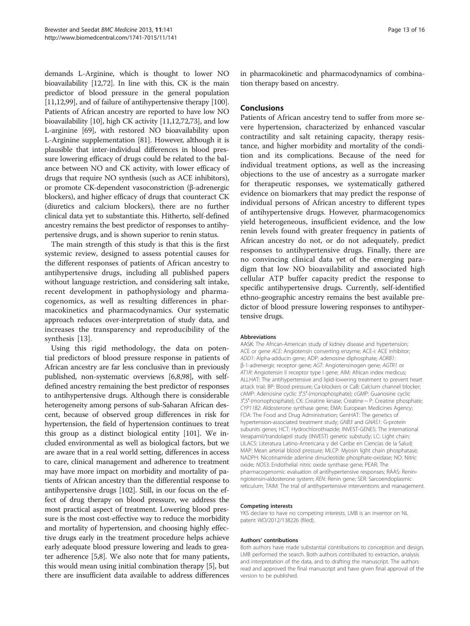demands L-Arginine, which is thought to lower NO bioavailability [[12](#page-13-0)[,72](#page-14-0)]. In line with this, CK is the main predictor of blood pressure in the general population [[11,12](#page-13-0)[,99\]](#page-15-0), and of failure of antihypertensive therapy [[100](#page-15-0)]. Patients of African ancestry are reported to have low NO bioavailability [\[10\]](#page-13-0), high CK activity [[11,12](#page-13-0)[,72,73](#page-14-0)], and low L-arginine [[69](#page-14-0)], with restored NO bioavailability upon L-Arginine supplementation [[81](#page-15-0)]. However, although it is plausible that inter-individual differences in blood pressure lowering efficacy of drugs could be related to the balance between NO and CK activity, with lower efficacy of drugs that require NO synthesis (such as ACE inhibitors), or promote CK-dependent vasoconstriction (β-adrenergic blockers), and higher efficacy of drugs that counteract CK (diuretics and calcium blockers), there are no further clinical data yet to substantiate this. Hitherto, self-defined ancestry remains the best predictor of responses to antihypertensive drugs, and is shown superior to renin status.

The main strength of this study is that this is the first systemic review, designed to assess potential causes for the different responses of patients of African ancestry to antihypertensive drugs, including all published papers without language restriction, and considering salt intake, recent development in pathophysiology and pharmacogenomics, as well as resulting differences in pharmacokinetics and pharmacodynamics. Our systematic approach reduces over-interpretation of study data, and increases the transparency and reproducibility of the synthesis [\[13](#page-13-0)].

Using this rigid methodology, the data on potential predictors of blood pressure response in patients of African ancestry are far less conclusive than in previously published, non-systematic overviews [[6,8](#page-13-0)[,98](#page-15-0)], with selfdefined ancestry remaining the best predictor of responses to antihypertensive drugs. Although there is considerable heterogeneity among persons of sub-Saharan African descent, because of observed group differences in risk for hypertension, the field of hypertension continues to treat this group as a distinct biological entity [\[101](#page-15-0)]. We included environmental as well as biological factors, but we are aware that in a real world setting, differences in access to care, clinical management and adherence to treatment may have more impact on morbidity and mortality of patients of African ancestry than the differential response to antihypertensive drugs [\[102](#page-15-0)]. Still, in our focus on the effect of drug therapy on blood pressure, we address the most practical aspect of treatment. Lowering blood pressure is the most cost-effective way to reduce the morbidity and mortality of hypertension, and choosing highly effective drugs early in the treatment procedure helps achieve early adequate blood pressure lowering and leads to greater adherence [[5](#page-13-0),[8](#page-13-0)]. We also note that for many patients, this would mean using initial combination therapy [\[5](#page-13-0)], but there are insufficient data available to address differences

in pharmacokinetic and pharmacodynamics of combination therapy based on ancestry.

### **Conclusions**

Patients of African ancestry tend to suffer from more severe hypertension, characterized by enhanced vascular contractility and salt retaining capacity, therapy resistance, and higher morbidity and mortality of the condition and its complications. Because of the need for individual treatment options, as well as the increasing objections to the use of ancestry as a surrogate marker for therapeutic responses, we systematically gathered evidence on biomarkers that may predict the response of individual persons of African ancestry to different types of antihypertensive drugs. However, pharmacogenomics yield heterogeneous, insufficient evidence, and the low renin levels found with greater frequency in patients of African ancestry do not, or do not adequately, predict responses to antihypertensive drugs. Finally, there are no convincing clinical data yet of the emerging paradigm that low NO bioavailability and associated high cellular ATP buffer capacity predict the response to specific antihypertensive drugs. Currently, self-identified ethno-geographic ancestry remains the best available predictor of blood pressure lowering responses to antihypertensive drugs.

#### Abbreviations

AASK: The African-American study of kidney disease and hypertension; ACE or gene ACE: Angiotensin converting enzyme; ACE-i: ACE inhibitor; ADD1: Alpha-adducin gene; ADP: adenosine diphosphate; ADRB1: β-1-adrenergic receptor gene; AGT: Angiotensinogen gene; AGTR1 or AT1R: Angiotensin II receptor type I gene; AIM: African index medicus; ALLHAT: The antihypertensive and lipid-lowering treatment to prevent heart attack trial; BP: Blood pressure; Ca-blockers or CaB: Calcium channel blocker; cAMP: Adenosine cyclic 3′,5′-(monophosphate); cGMP: Guanosine cyclic 3′,5′-(monophosphate); CK: Creatine kinase; Creatine ~ P: Creatine phosphate; CYP11B2: Aldosterone synthase gene; EMA: European Medicines Agency; FDA: The Food and Drug Administration; GenHAT: The genetics of hypertension-associated treatment study; GNB3 and GNAS1: G-protein subunits genes; HCT: Hydrochlorothiazide; INVEST-GENES: The International Verapamil/trandolapril study (INVEST) genetic substudy; LC: Light chain; LILACS: Literatura Latino-Americana y del Caribe en Ciencias de la Salud; MAP: Mean arterial blood pressure; MLCP: Myosin light chain phosphatase; NADPH: Nicotinamide adenine dinucleotide phosphate-oxidase; NO: Nitric oxide; NOS3: Endothelial nitric oxide synthase gene; PEAR: The pharmacogenomic evaluation of antihypertensive responses; RAAS: Reninngiotensin-aldosterone system; REN: Renin gene; SER: Sarcoendoplasmic reticulum; TAIM: The trial of antihypertensive interventions and management.

#### Competing interests

YKS declare to have no competing interests. LMB is an inventor on NL patent WO/2012/138226 (filed).

#### Authors' contributions

Both authors have made substantial contributions to conception and design. LMB performed the search. Both authors contributed to extraction, analysis and interpretation of the data, and to drafting the manuscript. The authors read and approved the final manuscript and have given final approval of the version to be published.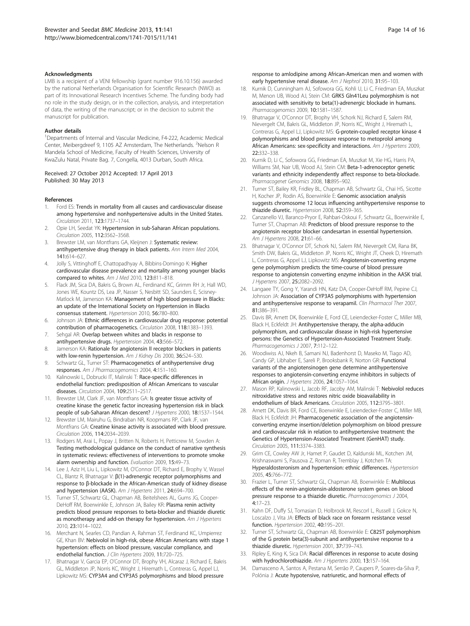#### <span id="page-13-0"></span>Acknowledgments

LMB is a recipient of a VENI fellowship (grant number 916.10.156) awarded by the national Netherlands Organisation for Scientific Research (NWO) as part of its Innovational Research Incentives Scheme. The funding body had no role in the study design, or in the collection, analysis, and interpretation of data, the writing of the manuscript; or in the decision to submit the manuscript for publication.

#### Author details

<sup>1</sup>Departments of Internal and Vascular Medicine, F4-222, Academic Medical Center, Meibergdreef 9, 1105 AZ Amsterdam, The Netherlands. <sup>2</sup>Nelson R Mandela School of Medicine, Faculty of Health Sciences, University of KwaZulu Natal, Private Bag. 7, Congella, 4013 Durban, South Africa.

#### Received: 27 October 2012 Accepted: 17 April 2013 Published: 30 May 2013

#### References

- 1. Ford ES: Trends in mortality from all causes and cardiovascular disease among hypertensive and nonhypertensive adults in the United States. Circulation 2011, 123:1737–1744.
- 2. Opie LH, Seedat YK: Hypertension in sub-Saharan African populations. Circulation 2005, 112:3562–3568.
- Brewster LM, van Montfrans GA, Kleijnen J: Systematic review: antihypertensive drug therapy in black patients. Ann Intern Med 2004, 141:614–627.
- 4. Jolly S, Vittinghoff E, Chattopadhyay A, Bibbins-Domingo K: Higher cardiovascular disease prevalence and mortality among younger blacks compared to whites. Am J Med 2010, 123:811–818.
- 5. Flack JM, Sica DA, Bakris G, Brown AL, Ferdinand KC, Grimm RH Jr, Hall WD, Jones WE, Kountz DS, Lea JP, Nasser S, Nesbitt SD, Saunders E, Scisney-Matlock M, Jamerson KA: Management of high blood pressure in Blacks: an update of the International Society on Hypertension in Blacks consensus statement. Hypertension 2010, 56:780–800.
- 6. Johnson JA: Ethnic differences in cardiovascular drug response: potential contribution of pharmacogenetics. Circulation 2008, 118:1383–1393.
- 7. Sehgal AR: Overlap between whites and blacks in response to antihypertensive drugs. Hypertension 2004, 43:566–572.
- 8. Jamerson KA: Rationale for angiotensin II receptor blockers in patients with low-renin hypertension. Am J Kidney Dis 2000, 36:S24-S30.
- 9. Schwartz GL, Turner ST: Pharmacogenetics of antihypertensive drug responses. Am J Pharmacogenomics 2004, 4:151–160.
- 10. Kalinowski L, Dobrucki IT, Malinski T: Race-specific differences in endothelial function: predisposition of African Americans to vascular diseases. Circulation 2004, 109:2511–2517.
- 11. Brewster LM, Clark JF, van Montfrans GA: Is greater tissue activity of creatine kinase the genetic factor increasing hypertension risk in black people of sub-Saharan African descent? J Hypertens 2000, 18:1537-1544.
- 12. Brewster LM, Mairuhu G, Bindraban NR, Koopmans RP, Clark JF, van Montfrans GA: Creatine kinase activity is associated with blood pressure. Circulation 2006, 114:2034–2039.
- 13. Rodgers M, Arai L, Popay J, Britten N, Roberts H, Petticrew M, Sowden A: Testing methodological guidance on the conduct of narrative synthesis in systematic reviews: effectiveness of interventions to promote smoke alarm ownership and function. Evaluation 2009, 15:49–73.
- 14. Lee J, Aziz H, Liu L, Lipkowitz M, O'Connor DT, Richard E, Brophy V, Wassel CL, Blantz R, Bhatnagar V: β(1)-adrenergic receptor polymorphisms and response to β-blockade in the African-American study of kidney disease and hypertension (AASK). Am J Hypertens 2011, 24:694-700.
- 15. Turner ST, Schwartz GL, Chapman AB, Beitelshees AL, Gums JG, Cooper-DeHoff RM, Boerwinkle E, Johnson JA, Bailey KR: Plasma renin activity predicts blood pressure responses to beta-blocker and thiazide diuretic as monotherapy and add-on therapy for hypertension. Am J Hypertens 2010, 23:1014–1022.
- 16. Merchant N, Searles CD, Pandian A, Rahman ST, Ferdinand KC, Umpierrez GE, Khan BV: Nebivolol in high-risk, obese African Americans with stage 1 hypertension: effects on blood pressure, vascular compliance, and endothelial function. J Clin Hypertens 2009, 11:720-725.
- 17. Bhatnagar V, Garcia EP, O'Connor DT, Brophy VH, Alcaraz J, Richard E, Bakris GL, Middleton JP, Norris KC, Wright J, Hiremath L, Contreras G, Appel LJ, Lipkowitz MS: CYP3A4 and CYP3A5 polymorphisms and blood pressure

response to amlodipine among African-American men and women with early hypertensive renal disease. Am J Nephrol 2010, 31:95-103.

- 18. Kurnik D, Cunningham AJ, Sofowora GG, Kohli U, Li C, Friedman EA, Muszkat M, Menon UB, Wood AJ, Stein CM: GRK5 Gln41Leu polymorphism is not associated with sensitivity to beta(1)-adrenergic blockade in humans. Pharmacogenomics 2009, 10:1581–1587.
- 19. Bhatnagar V, O'Connor DT, Brophy VH, Schork NJ, Richard E, Salem RM, Nievergelt CM, Bakris GL, Middleton JP, Norris KC, Wright J, Hiremath L, Contreras G, Appel LJ, Lipkowitz MS: G-protein-coupled receptor kinase 4 polymorphisms and blood pressure response to metoprolol among African Americans: sex-specificity and interactions. Am J Hypertens 2009, 22:332–338.
- 20. Kurnik D, Li C, Sofowora GG, Friedman EA, Muszkat M, Xie HG, Harris PA, Williams SM, Nair UB, Wood AJ, Stein CM: Beta-1-adrenoceptor genetic variants and ethnicity independently affect response to beta-blockade. Pharmacogenet Genomics 2008, 18:895–902.
- 21. Turner ST, Bailey KR, Fridley BL, Chapman AB, Schwartz GL, Chai HS, Sicotte H, Kocher JP, Rodin AS, Boerwinkle E: Genomic association analysis suggests chromosome 12 locus influencing antihypertensive response to thiazide diuretic. Hypertension 2008, 52:359–365.
- 22. Canzanello VJ, Baranco-Pryor E, Rahbari-Oskoui F, Schwartz GL, Boerwinkle E, Turner ST, Chapman AB: Predictors of blood pressure response to the angiotensin receptor blocker candesartan in essential hypertension. Am J Hypertens 2008, 21:61–66.
- 23. Bhatnagar V, O'Connor DT, Schork NJ, Salem RM, Nievergelt CM, Rana BK, Smith DW, Bakris GL, Middleton JP, Norris KC, Wright JT, Cheek D, Hiremath L, Contreras G, Appel LJ, Lipkowitz MS: Angiotensin-converting enzyme gene polymorphism predicts the time-course of blood pressure response to angiotensin converting enzyme inhibition in the AASK trial. J Hypertens 2007, 25:2082–2092.
- 24. Langaee TY, Gong Y, Yarandi HN, Katz DA, Cooper-DeHoff RM, Pepine CJ, Johnson JA: Association of CYP3A5 polymorphisms with hypertension and antihypertensive response to verapamil. Clin Pharmacol Ther 2007, 81:386–391.
- 25. Davis BR, Arnett DK, Boerwinkle E, Ford CE, Leiendecker-Foster C, Miller MB, Black H, Eckfeldt JH: Antihypertensive therapy, the alpha-adducin polymorphism, and cardiovascular disease in high-risk hypertensive persons: the Genetics of Hypertension-Associated Treatment Study. Pharmacogenomics J 2007, 7:112-122.
- 26. Woodiwiss AJ, Nkeh B, Samani NJ, Badenhorst D, Maseko M, Tiago AD, Candy GP, Libhaber E, Sareli P, Brooksbank R, Norton GR: Functional variants of the angiotensinogen gene determine antihypertensive responses to angiotensin-converting enzyme inhibitors in subjects of African origin. J Hypertens 2006, 24:1057–1064.
- 27. Mason RP, Kalinowski L, Jacob RF, Jacoby AM, Malinski T: Nebivolol reduces nitroxidative stress and restores nitric oxide bioavailability in endothelium of black Americans. Circulation 2005, 112:3795–3801.
- 28. Arnett DK, Davis BR, Ford CE, Boerwinkle E, Leiendecker-Foster C, Miller MB, Black H, Eckfeldt JH: Pharmacogenetic association of the angiotensinconverting enzyme insertion/deletion polymorphism on blood pressure and cardiovascular risk in relation to antihypertensive treatment: the Genetics of Hypertension-Associated Treatment (GenHAT) study. Circulation 2005, 111:3374–3383.
- 29. Grim CE, Cowley AW Jr, Hamet P, Gaudet D, Kaldunski ML, Kotchen JM, Krishnaswami S, Pausova Z, Roman R, Tremblay J, Kotchen TA: Hyperaldosteronism and hypertension: ethnic differences. Hypertension 2005, 45:766–772.
- 30. Frazier L, Turner ST, Schwartz GL, Chapman AB, Boerwinkle E: Multilocus effects of the renin-angiotensin-aldosterone system genes on blood pressure response to a thiazide diuretic. Pharmacogenomics J 2004, 4:17–23.
- 31. Kahn DF, Duffy SJ, Tomasian D, Holbrook M, Rescorl L, Russell J, Gokce N, Loscalzo J, Vita JA: Effects of black race on forearm resistance vessel function. Hypertension 2002, 40:195–201.
- 32. Turner ST, Schwartz GL, Chapman AB, Boerwinkle E: C825T polymorphism of the G protein beta(3)-subunit and antihypertensive response to a thiazide diuretic. Hypertension 2001, 37:739–743.
- 33. Ripley E, King K, Sica DA: Racial differences in response to acute dosing with hydrochlorothiazide. Am J Hypertens 2000, 13:157-164.
- 34. Damasceno A, Santos A, Pestana M, Serrão P, Caupers P, Soares-da-Silva P, Polónia J: Acute hypotensive, natriuretic, and hormonal effects of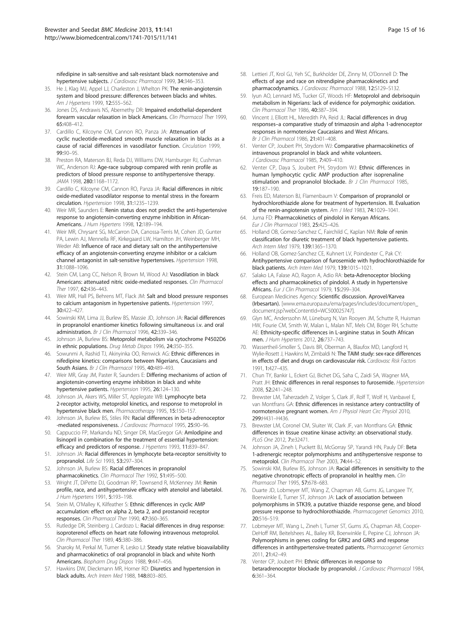<span id="page-14-0"></span>nifedipine in salt-sensitive and salt-resistant black normotensive and hypertensive subjects. J Cardiovasc Pharmacol 1999, 34:346-353.

- 35. He J, Klag MJ, Appel LJ, Charleston J, Whelton PK: The renin-angiotensin system and blood pressure: differences between blacks and whites. Am 1 Hypertens 1999, 12:555-562.
- 36. Jones DS, Andrawis NS, Abernethy DR: Impaired endothelial-dependent forearm vascular relaxation in black Americans. Clin Pharmacol Ther 1999, 65:408–412.
- 37. Cardillo C, Kilcoyne CM, Cannon RO, Panza JA: Attenuation of cyclic nucleotide-mediated smooth muscle relaxation in blacks as a cause of racial differences in vasodilator function. Circulation 1999, 99:90–95.
- 38. Preston RA, Materson BJ, Reda DJ, Williams DW, Hamburger RJ, Cushman WC, Anderson RJ: Age-race subgroup compared with renin profile as predictors of blood pressure response to antihypertensive therapy. JAMA 1998. 280:1168-1172.
- 39. Cardillo C, Kilcoyne CM, Cannon RO, Panza JA: Racial differences in nitric oxide-mediated vasodilator response to mental stress in the forearm circulation. Hypertension 1998, 31:1235–1239.
- 40. Weir MR, Saunders E: Renin status does not predict the anti-hypertensive response to angiotensin-converting enzyme inhibition in African-Americans. J Hum Hypertens 1998, 12:189–194.
- 41. Weir MR, Chrysant SG, McCarron DA, Canossa-Terris M, Cohen JD, Gunter PA, Lewin AJ, Mennella RF, Kirkegaard LW, Hamilton JH, Weinberger MH, Weder AB: Influence of race and dietary salt on the antihypertensive efficacy of an angiotensin-converting enzyme inhibitor or a calcium channel antagonist in salt-sensitive hypertensives. Hypertension 1998, 31:1088–1096.
- 42. Stein CM, Lang CC, Nelson R, Brown M, Wood AJ: Vasodilation in black Americans: attenuated nitric oxide-mediated responses. Clin Pharmacol Ther 1997, 62:436–443.
- 43. Weir MR, Hall PS, Behrens MT, Flack JM: Salt and blood pressure responses to calcium antagonism in hypertensive patients. Hypertension 1997, 30:422–427.
- 44. Sowinski KM, Lima JJ, Burlew BS, Massie JD, Johnson JA: Racial differences in propranolol enantiomer kinetics following simultaneous i.v. and oral administration. Br J Clin Pharmacol 1996, 42:339–346.
- 45. Johnson JA, Burlew BS: Metoprolol metabolism via cytochrome P4502D6 in ethnic populations. Drug Metab Dispos 1996, 24:350–355.
- 46. Sowunmi A, Rashid TJ, Akinyinka OO, Renwick AG: Ethnic differences in nifedipine kinetics: comparisons between Nigerians, Caucasians and South Asians. Br J Clin Pharmacol 1995, 40:489-493.
- 47. Weir MR, Gray JM, Paster R, Saunders E: Differing mechanisms of action of angiotensin-converting enzyme inhibition in black and white hypertensive patients. Hypertension 1995, 26:124–130.
- Johnson JA, Akers WS, Miller ST, Applegate WB: Lymphocyte beta 2-receptor activity, metoprolol kinetics, and response to metoprolol in hypertensive black men. Pharmacotherapy 1995, 15:150–157.
- 49. Johnson JA, Burlew BS, Stiles RN: Racial differences in beta-adrenoceptor -mediated responsiveness. J Cardiovasc Pharmacol 1995, 25:90-96.
- 50. Cappuccio FP, Markandu ND, Singer DR, MacGregor GA: Amlodipine and lisinopril in combination for the treatment of essential hypertension: efficacy and predictors of response. J Hypertens 1993, 11:839–847.
- 51. Johnson JA: Racial differences in lymphocyte beta-receptor sensitivity to propranolol. Life Sci 1993, 53:297–304.
- 52. Johnson JA, Burlew BS: Racial differences in propranolol pharmacokinetics. Clin Pharmacol Ther 1992, 51:495–500.
- 53. Wright JT, DiPette DJ, Goodman RP, Townsend R, McKenney JM: Renin profile, race, and antihypertensive efficacy with atenolol and labetalol. .<br>J Hum Hypertens 1991, 5:193-198.
- 54. Stein M, O'Malley K, Kilfeather S: Ethnic differences in cyclic AMP accumulation: effect on alpha 2, beta 2, and prostanoid receptor responses. Clin Pharmacol Ther 1990, 47:360–365.
- 55. Rutledge DR, Steinberg J, Cardozo L: Racial differences in drug response: isoproterenol effects on heart rate following intravenous metoprolol. Clin Pharmacol Ther 1989, 45:380–386.
- 56. Sharoky M, Perkal M, Turner R, Lesko LJ: Steady state relative bioavailability and pharmacokinetics of oral propranolol in black and white North Americans. Biopharm Drug Dispos 1988, 9:447–456.
- 57. Hawkins DW, Dieckmann MR, Horner RD: Diuretics and hypertension in black adults. Arch Intern Med 1988, 148:803–805.
- 58. Lettieri JT, Krol GJ, Yeh SC, Burkholder DE, Zinny M, O'Donnell D: The effects of age and race on nitrendipine pharmacokinetics and pharmacodynamics. J Cardiovasc Pharmacol 1988, 12:S129–S132.
- 59. Iyun AO, Lennard MS, Tucker GT, Woods HF: Metoprolol and debrisoquin metabolism in Nigerians: lack of evidence for polymorphic oxidation. Clin Pharmacol Ther 1986, 40:387–394.
- 60. Vincent J, Elliott HL, Meredith PA, Reid JL: Racial differences in drug responses–a comparative study of trimazosin and alpha 1-adrenoceptor responses in normotensive Caucasians and West Africans. Br J Clin Pharmacol 1986, 21:401–408.
- 61. Venter CP, Joubert PH, Strydom WJ: Comparative pharmacokinetics of intravenous propranolol in black and white volunteers. J Cardiovasc Pharmacol 1985, 7:409–410.
- 62. Venter CP, Daya S, Joubert PH, Strydom WJ: Ethnic differences in human lymphocytic cyclic AMP production after isoprenaline stimulation and propranolol blockade. Br J Clin Pharmacol 1985, 19:187–190.
- Freis ED, Materson BJ, Flamenbaum V: Comparison of propranolol or hydrochlorothiazide alone for treatment of hypertension. III. Evaluation of the renin-angiotensin system. Am J Med 1983, 74:1029–1041.
- 64. Juma FD: Pharmacokinetics of pindolol in Kenyan Africans. Eur J Clin Pharmacol 1983, 25:425-426.
- 65. Holland OB, Gomez-Sanchez C, Fairchild C, Kaplan NM: Role of renin classification for diuretic treatment of black hypertensive patients. Arch Intern Med 1979, 139:1365–1370.
- 66. Holland OB, Gomez-Sanchez CE, Kuhnert LV, Poindexter C, Pak CY: Antihypertensive comparison of furosemide with hydrochlorothiazide for black patients. Arch Intern Med 1979, 139:1015–1021.
- Salako LA, Falase AO, Ragon A, Adio RA: beta-Adrenoceptor blocking effects and pharmacokinetics of pindolol. A study in hypertensive Africans. Eur J Clin Pharmacol 1979, 15:299–304.
- 68. European Medicines Agency: Scientific discussion. Aprovel/Karvea (Irbesartan). [[www.ema.europa.eu/ema/pages/includes/document/open\\_](http://www.ema.europa.eu/ema/pages/includes/document/open_document.jsp?webContentId=WC500025747) [document.jsp?webContentId=WC500025747\]](http://www.ema.europa.eu/ema/pages/includes/document/open_document.jsp?webContentId=WC500025747).
- 69. Glyn MC, Anderssohn M, Lüneburg N, Van Rooyen JM, Schutte R, Huisman HW, Fourie CM, Smith W, Malan L, Malan NT, Mels CM, Böger RH, Schutte AE: Ethnicity-specific differences in L-arginine status in South African men. J Hum Hypertens 2012, 26:737–743.
- 70. Wassertheil-Smoller S, Davis BR, Oberman A, Blaufox MD, Langford H, Wylie-Rosett J, Hawkins M, Zimbaldi N: The TAIM study: sex-race differences in effects of diet and drugs on cardiovascular risk. Cardiovasc Risk Factors 1991, 1:427–435.
- 71. Chun TY, Bankir L, Eckert GJ, Bichet DG, Saha C, Zaidi SA, Wagner MA, Pratt JH: Ethnic differences in renal responses to furosemide. Hypertension 2008, 52:241–248.
- 72. Brewster LM, Taherzadeh Z, Volger S, Clark JF, Rolf T, Wolf H, Vanbavel E, van Montfrans GA: Ethnic differences in resistance artery contractility of normotensive pregnant women. Am J Physiol Heart Circ Physiol 2010, 299:H431–H436.
- 73. Brewster LM, Coronel CM, Sluiter W, Clark JF, van Montfrans GA: Ethnic differences in tissue creatine kinase activity: an observational study. PLoS One 2012, 7:e32471.
- 74. Johnson JA, Zineh I, Puckett BJ, McGorray SP, Yarandi HN, Pauly DF: Beta 1-adrenergic receptor polymorphisms and antihypertensive response to metoprolol. Clin Pharmacol Ther 2003, 74:44–52.
- 75. Sowinski KM, Burlew BS, Johnson JA: Racial differences in sensitivity to the negative chronotropic effects of propranolol in healthy men. Clin Pharmacol Ther 1995, 57:678–683.
- 76. Duarte JD, Lobmeyer MT, Wang Z, Chapman AB, Gums JG, Langaee TY, Boerwinkle E, Turner ST, Johnson JA: Lack of association between polymorphisms in STK39, a putative thiazide response gene, and blood pressure response to hydrochlorothiazide. Pharmacogenet Genomics 2010, 20:516–519.
- 77. Lobmeyer MT, Wang L, Zineh I, Turner ST, Gums JG, Chapman AB, Cooper-DeHoff RM, Beitelshees AL, Bailey KR, Boerwinkle E, Pepine CJ, Johnson JA: Polymorphisms in genes coding for GRK2 and GRK5 and response differences in antihypertensive-treated patients. Pharmacogenet Genomics 2011, 21:42–49.
- 78. Venter CP, Joubert PH: Ethnic differences in response to betaradrenoceptor blockade by propranolol. J Cardiovasc Pharmacol 1984, 6:361–364.